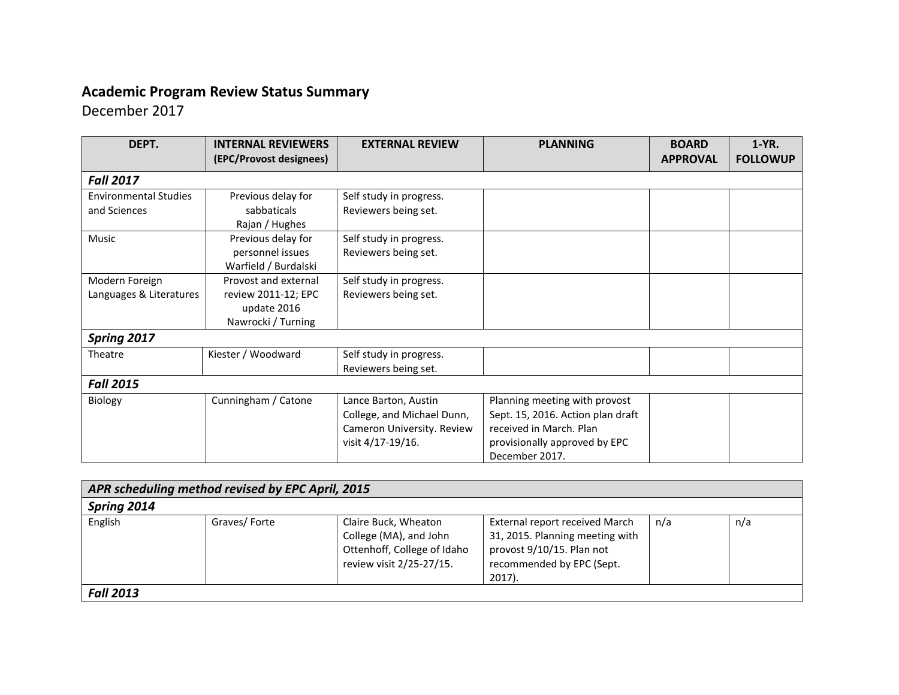## **Academic Program Review Status Summary**

December 2017

| DEPT.                        | <b>INTERNAL REVIEWERS</b><br>(EPC/Provost designees) | <b>EXTERNAL REVIEW</b>     | <b>PLANNING</b>                   | <b>BOARD</b><br><b>APPROVAL</b> | 1-YR.<br><b>FOLLOWUP</b> |  |  |
|------------------------------|------------------------------------------------------|----------------------------|-----------------------------------|---------------------------------|--------------------------|--|--|
| <b>Fall 2017</b>             |                                                      |                            |                                   |                                 |                          |  |  |
| <b>Environmental Studies</b> | Previous delay for                                   | Self study in progress.    |                                   |                                 |                          |  |  |
| and Sciences                 | sabbaticals                                          | Reviewers being set.       |                                   |                                 |                          |  |  |
|                              | Rajan / Hughes                                       |                            |                                   |                                 |                          |  |  |
| Music                        | Previous delay for                                   | Self study in progress.    |                                   |                                 |                          |  |  |
|                              | personnel issues                                     | Reviewers being set.       |                                   |                                 |                          |  |  |
|                              | Warfield / Burdalski                                 |                            |                                   |                                 |                          |  |  |
| Modern Foreign               | Provost and external                                 | Self study in progress.    |                                   |                                 |                          |  |  |
| Languages & Literatures      | review 2011-12; EPC                                  | Reviewers being set.       |                                   |                                 |                          |  |  |
|                              | update 2016                                          |                            |                                   |                                 |                          |  |  |
|                              | Nawrocki / Turning                                   |                            |                                   |                                 |                          |  |  |
| Spring 2017                  |                                                      |                            |                                   |                                 |                          |  |  |
| Theatre                      | Kiester / Woodward                                   | Self study in progress.    |                                   |                                 |                          |  |  |
|                              |                                                      | Reviewers being set.       |                                   |                                 |                          |  |  |
| <b>Fall 2015</b>             |                                                      |                            |                                   |                                 |                          |  |  |
| Biology                      | Cunningham / Catone                                  | Lance Barton, Austin       | Planning meeting with provost     |                                 |                          |  |  |
|                              |                                                      | College, and Michael Dunn, | Sept. 15, 2016. Action plan draft |                                 |                          |  |  |
|                              |                                                      | Cameron University. Review | received in March. Plan           |                                 |                          |  |  |
|                              |                                                      | visit 4/17-19/16.          | provisionally approved by EPC     |                                 |                          |  |  |
|                              |                                                      |                            | December 2017.                    |                                 |                          |  |  |

| APR scheduling method revised by EPC April, 2015 |              |                                                                                                           |                                                                                                                                          |     |     |  |
|--------------------------------------------------|--------------|-----------------------------------------------------------------------------------------------------------|------------------------------------------------------------------------------------------------------------------------------------------|-----|-----|--|
| Spring 2014                                      |              |                                                                                                           |                                                                                                                                          |     |     |  |
| English                                          | Graves/Forte | Claire Buck, Wheaton<br>College (MA), and John<br>Ottenhoff, College of Idaho<br>review visit 2/25-27/15. | External report received March<br>31, 2015. Planning meeting with<br>provost 9/10/15. Plan not<br>recommended by EPC (Sept.<br>$2017$ ). | n/a | n/a |  |
| <b>Fall 2013</b>                                 |              |                                                                                                           |                                                                                                                                          |     |     |  |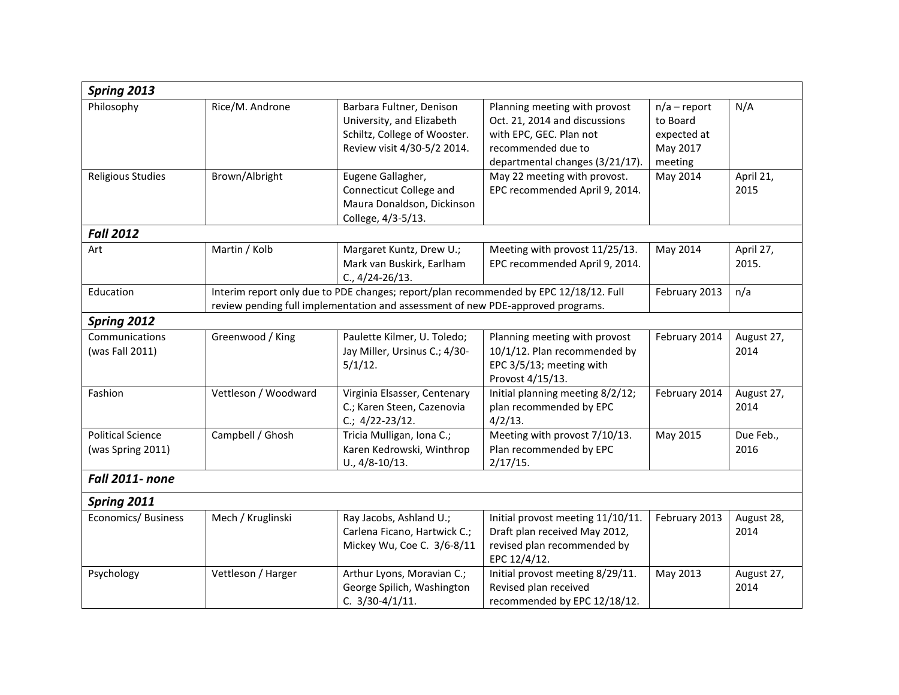| Spring 2013                                   |                                                                                                                                                                          |                                                                                                                      |                                                                                                                                                    |                                                                  |                    |  |
|-----------------------------------------------|--------------------------------------------------------------------------------------------------------------------------------------------------------------------------|----------------------------------------------------------------------------------------------------------------------|----------------------------------------------------------------------------------------------------------------------------------------------------|------------------------------------------------------------------|--------------------|--|
| Philosophy                                    | Rice/M. Androne                                                                                                                                                          | Barbara Fultner, Denison<br>University, and Elizabeth<br>Schiltz, College of Wooster.<br>Review visit 4/30-5/2 2014. | Planning meeting with provost<br>Oct. 21, 2014 and discussions<br>with EPC, GEC. Plan not<br>recommended due to<br>departmental changes (3/21/17). | $n/a$ – report<br>to Board<br>expected at<br>May 2017<br>meeting | N/A                |  |
| Religious Studies                             | Brown/Albright                                                                                                                                                           | Eugene Gallagher,<br><b>Connecticut College and</b><br>Maura Donaldson, Dickinson<br>College, 4/3-5/13.              | May 22 meeting with provost.<br>EPC recommended April 9, 2014.                                                                                     | May 2014                                                         | April 21,<br>2015  |  |
| <b>Fall 2012</b>                              |                                                                                                                                                                          |                                                                                                                      |                                                                                                                                                    |                                                                  |                    |  |
| Art                                           | Martin / Kolb                                                                                                                                                            | Margaret Kuntz, Drew U.;<br>Mark van Buskirk, Earlham<br>C., 4/24-26/13.                                             | Meeting with provost 11/25/13.<br>EPC recommended April 9, 2014.                                                                                   | May 2014                                                         | April 27,<br>2015. |  |
| Education                                     | Interim report only due to PDE changes; report/plan recommended by EPC 12/18/12. Full<br>review pending full implementation and assessment of new PDE-approved programs. |                                                                                                                      |                                                                                                                                                    | February 2013                                                    | n/a                |  |
| Spring 2012                                   |                                                                                                                                                                          |                                                                                                                      |                                                                                                                                                    |                                                                  |                    |  |
| Communications<br>(was Fall 2011)             | Greenwood / King                                                                                                                                                         | Paulette Kilmer, U. Toledo;<br>Jay Miller, Ursinus C.; 4/30-<br>$5/1/12$ .                                           | Planning meeting with provost<br>10/1/12. Plan recommended by<br>EPC 3/5/13; meeting with<br>Provost 4/15/13.                                      | February 2014                                                    | August 27,<br>2014 |  |
| Fashion                                       | Vettleson / Woodward                                                                                                                                                     | Virginia Elsasser, Centenary<br>C.; Karen Steen, Cazenovia<br>C.; $4/22 - 23/12$ .                                   | Initial planning meeting 8/2/12;<br>plan recommended by EPC<br>$4/2/13$ .                                                                          | February 2014                                                    | August 27,<br>2014 |  |
| <b>Political Science</b><br>(was Spring 2011) | Campbell / Ghosh                                                                                                                                                         | Tricia Mulligan, Iona C.;<br>Karen Kedrowski, Winthrop<br>U., 4/8-10/13.                                             | Meeting with provost 7/10/13.<br>Plan recommended by EPC<br>2/17/15.                                                                               | May 2015                                                         | Due Feb.,<br>2016  |  |
| <b>Fall 2011- none</b>                        |                                                                                                                                                                          |                                                                                                                      |                                                                                                                                                    |                                                                  |                    |  |
| Spring 2011                                   |                                                                                                                                                                          |                                                                                                                      |                                                                                                                                                    |                                                                  |                    |  |
| Economics/Business                            | Mech / Kruglinski                                                                                                                                                        | Ray Jacobs, Ashland U.;<br>Carlena Ficano, Hartwick C.;<br>Mickey Wu, Coe C. 3/6-8/11                                | Initial provost meeting 11/10/11.<br>Draft plan received May 2012,<br>revised plan recommended by<br>EPC 12/4/12.                                  | February 2013                                                    | August 28,<br>2014 |  |
| Psychology                                    | Vettleson / Harger                                                                                                                                                       | Arthur Lyons, Moravian C.;<br>George Spilich, Washington<br>C. $3/30-4/1/11$ .                                       | Initial provost meeting 8/29/11.<br>Revised plan received<br>recommended by EPC 12/18/12.                                                          | May 2013                                                         | August 27,<br>2014 |  |